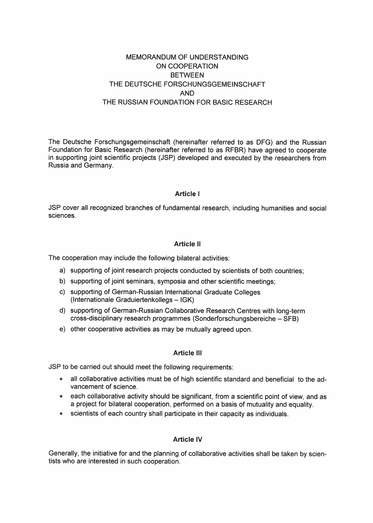# MEMORANDUM OF UNDERSTANDING ON COOPERATION BETWEEN THE DEUTSCHE FORSCHUNGSGEMEINSCHAFT AND THE RUSSIAN FOUNDATION FOR BASIC RESEARCH

The Deutsche Forschungsgemeinschaft (hereinafter referred to äs DFG) and the Russian Foundation for Basic Research (hereinafter referred to äs RFBR) have agreed to cooperate in supporting joint scientific projects (JSP) developed and executed by the researchers from Russia and Germany.

### **Article I**

JSP cover all recognized branches of fundamental research, including humanities and social sciences.

### **Article** II

The cooperation may include the following bilateral activities:

- a) supporting of joint research projects conducted by scientists of both countries;
- b) supporting of joint seminars, symposia and other scientific meetings;
- c) supporting of German-Russian International Graduate Colleges (Internationale Graduiertenkollegs - IGK)
- d) supporting of German-Russian Collaborative Research Centres with long-term cross-disciplinary research programmes (Sonderforschungsbereiche - SFB)
- e) other cooperative activities äs may be mutually agreed upon.

### Article III

JSP to be carried out should meet the following requirements:

- all collaborative activities must be of high scientific Standard and beneficial to the advancement of science.
- each collaborative activity should be significant, from a scientific point of view, and as a project for bilateral cooperation, performed on a basis of mutuality and equality.
- scientists of each country shall participate in their capacity as individuals.

### Article IV

Generally, the initiative for and the planning of collaborative activities shall be taken by scientists who are interested in such cooperation.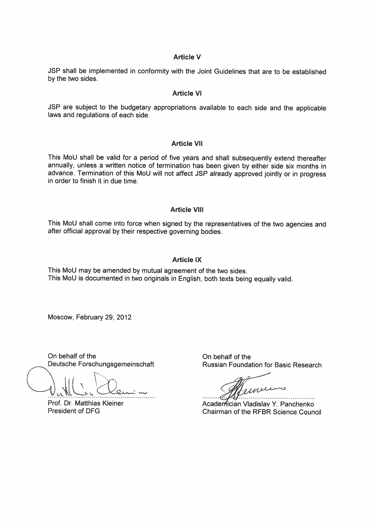### **Article V**

JSP shall be implemented in conformity with the Joint Guidelines that are to be established by the two sides.

### **Article VI**

JSP are subject to the budgetary appropriations available to each side and the applicable laws and regulations of each side.

#### **Article VII**

This Moll shall be valid for a period of five years and shall subsequently extend thereafter annually, unless a written notice of termination has been given by either side six months in advance. Termination of this MoU will not affect JSP already approved jointly or in progress in order to finish it in due time.

### Article VIII

This MoU shall come into force when signed by the representatives of the two agencies and after official approval by their respective governing bodies.

### Article IX

This MoU may be amended by mutual agreement of the two sides. This MoU is documented in two Originals in English, both texts being equally valid.

Moscow, February 29, 2012

On behalf of the Deutsche Forschungsgemeinschaft

Prof. Dr. Matthias Kleiner President of DFG

On behalf of the Russian Foundation for Basic Research

iner 

Academician Vladislav Y. Panchenko Chairman of the RFBR Science Council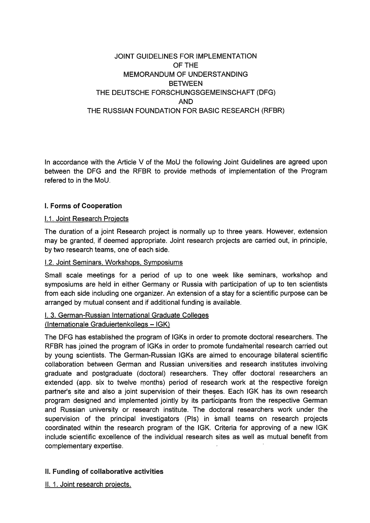# JOINT GUIDELINES FOR IMPLEMENTATION OFTHE MEMORANDUM OF UNDERSTANDING **BETWEEN** THE DEUTSCHE FORSCHUNGSGEMEINSCHAFT (DFG) AND THE RUSSIAN FOUNDATION FOR BASIC RESEARCH (RFBR)

In accordance with the Article V of the MoU the following Joint Guidelines are agreed upon between the DFG and the RFBR to provide methods of implementation of the Program refered to in the MoU.

# L Forrns of Cooperation

### 1.1. Joint Research Proiects

The duration of a joint Research project is normally up to three years. However, extension may be granted, if deemed appropriate. Joint research projects are carried out, in principle, by two research teams, one of each side.

## 1.2. Joint Seminars, Workshops. Symposiums

Small scale meetings for a period of up to one week like seminars, workshop and Symposiums are held in either Germany or Russia with participation of up to ten scientists from each side including one organizer. An extension of a stay for a scientific purpose can be arranged by mutual consent and if additional funding is available.

### l. 3. German-Russian International Graduate Colleges (Internationale Graduiertenkollegs - IGK)

The DFG has established the program of IGKs in order to promote doctoral researchers. The RFBR has joined the program of IGKs in order to promote fundamental research carried out by young scientists. The German-Russian IGKs are aimed to encourage bilateral scientific collaboration between German and Russian universities and research institutes involving graduate and postgraduate (doctoral) researchers. They offer doetoral researchers an extended (app. six to twelve months) period of research work at the respective foreign partner's site and also a joint supervision of their theses. Each IGK has its own research program designed and implemented jointly by its participants from the respective German and Russian university or research institute. The doctoral researchers work under the supervision of the principal investigators (Pls) in small teams on research projects coordinated within the research program of the IGK. Criteria for approving of a new IGK include scientific excellence of the individual research sites äs well äs mutual benefit from complementary expertise.

# II. Funding of collaborative activities

II. 1. Joint research proiects.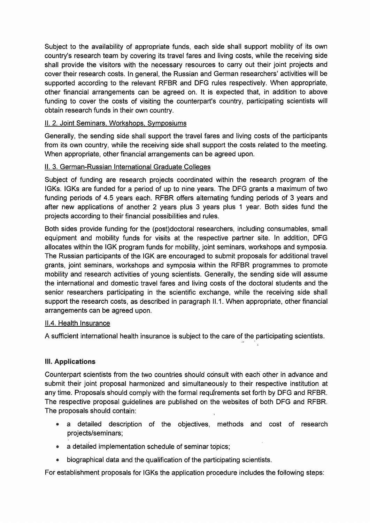Subject to the availability of appropriate funds, each side shall support mobility of its own country's research team by covering its travel fares and living costs, while the receiving side shall provide the visitors with the necessary resources to carry out their joint projects and cover their research costs. In general, the Russian and German researchers' activities will be supported according to the relevant RFBR and DFG rules respectively. When appropriate, other financial arrangements can be agreed on. It is expected that, in addition to above funding to cover the costs of visiting the counterpart's country, participating scientists will obtain research funds in their own country.

## II. 2. Joint Seminars, Workshops. Symposiums

Generally, the sending side shall support the travel fares and living costs of the participants from its own country, while the receiving side shall support the costs related to the meeting. When appropriate, other financial arrangements can be agreed upon.

# II. 3. German-Russian International Graduate Colleges

Subject of funding are research projects coordinated within the research program of the IGKs. IGKs are funded for a period of up to nine years. The DFG grants a maximum of two funding periods of 4.5 years each. RFBR offers alternating funding periods of 3 years and after new applications of another 2 years plus 3 years plus 1 year. Both sides fund the projects according to their financial possibilities and rules.

Both sides provide funding for the (post)doctoral researchers, including consumables, small equipment and mobility funds for visits at the respective partner site. In addition, DFG allocates within the IGK program funds for mobility, joint seminars, workshops and symposia. The Russian participants of the IGK are encouraged to submit proposals for additional travel grants, joint seminars, workshops and symposia within the RFBR programmes to promote mobility and research activities of young scientists. Generally, the sending side will assume the international and domestic travel fares and living costs of the doctoral students and the senior researchers participating in the scientific exchange, while the receiving side shall support the research costs, as described in paragraph II.1. When appropriate, other financial arrangements can be agreed upon.

### II.4. Health Insurance

A sufficient international health insurance is subject to the care of the participating scientists.

# III. Applications

Counterpart scientists from the two countries should cdnsult with each other in advance and submit their joint proposal harmonized and simultaneously to their respective institution at any time. Proposals should comply with the formal requfrements set forth by DFG and RFBR. The respective proposal guidelines are published on the websites of both DFG and RFBR. The proposals should contain:

- » a detailed description of the objectives, methods and cost of research projects/seminars;
- a detailed implementation schedule of seminar topics;
- biographical data and the qualification of the participating scientists.

For establishment proposals for IGKs the application procedure includes the following steps: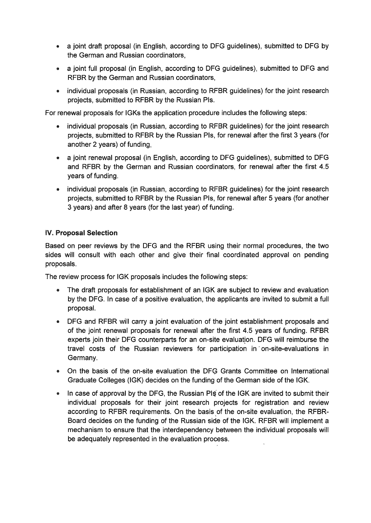- a joint draft proposal (in English, according to DFG guidelines), submitted to DFG by the German and Russian coordinators,
- *a* joint füll proposal (in English, according to DFG guidelines), submitted to DFG and RFBR by the German and Russian coordinators,
- individual proposals (in Russian, according to RFBR guidelines) for the joint research projects, submitted to RFBR by the Russian Pls.

For renewal proposals for IGKs the application procedure includes the following steps:

- individual proposals (in Russian, according to RFBR guidelines) for the joint research projects, submitted to RFBR by the Russian Pls, for renewal after the first 3 years (for another 2 years) of funding,
- a joint renewal proposal (in English, according to DFG guidelines), submitted to DFG and RFBR by the German and Russian coordinators, for renewal after the first 4.5 years of funding.
- individual proposals (in Russian, according to RFBR guidelines) for the joint research projects, submitted to RFBR by the Russian Pls, for renewal after 5 years (for another 3 years) and after 8 years (for the last year) of funding.

### IV. Proposal Selection

Based on peer reviews by the DFG and the RFBR using their normal procedures, the two sides will consult with each other and give their final coordinated approval on pending proposals.

The review process for IGK proposals includes the following steps:

- The draft proposals for establishment of an IGK are subject to review and evaluation by the DFG. In case of a positive evaluation, the applicants are invited to submit a füll proposal.
- DFG and RFBR will carry a joint evaluation of the joint establishment proposals and of the joint renewal proposals for renewal after the first 4.5 years of funding. RFBR experts join their DFG counterparts for an on-site evaluation. DFG will reimburse the travel costs of the Russian reviewers for participation in "on-site-evaluations in Germany.
- On the basis of the on-site evaluation the DFQ Grants Committee on International Graduate Colleges (IGK) decides on the funding of the German side of the IGK.
- In case of approval by the DFG, the Russian PIs of the IGK are invited to submit their individual proposals for their joint research projects for registration and review according to RFBR requirements. On the basis of the on-site evaluation, the RFBR-Board decides on the funding of the Russian side of the IGK. RFBR will implement a mechanism to ensure that the interdependency between the individual proposals will be adequately represented in the evaluation process.